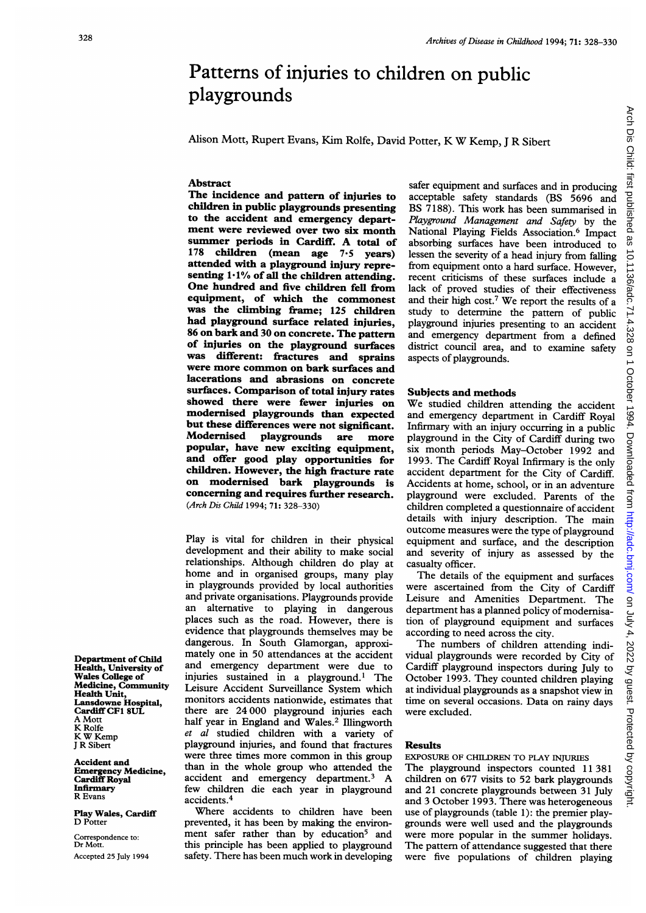# Patterns of injuries to children on public playgrounds

Alison Mott, Rupert Evans, Kim Rolfe, David Potter, K W Kemp, <sup>J</sup> R Sibert

## Abstract

The incidence and pattern of injuries to children in public playgrounds presenting to the accident and emergency department were reviewed over two six month summer periods in Cardiff. A total of 178 children (mean age <sup>7</sup>'5 years) attended with a playground injury representing  $1.1\%$  of all the children attending. One hundred and five children fell from equipment, of which the commonest was the climbing frame; 125 children had playground surface related injuries, 86 on bark and 30 on concrete. The pattern of injuries on the playground surfaces was different: fractures and sprains were more common on bark surfaces and lacerations and abrasions on concrete surfaces. Comparison of total injury rates showed there were fewer injuries on modernised playgrounds than expected but these differences were not significant. Modernised playgrounds are more popular, have new exciting equipment, and offer good play opportunities for children. However, the high fracture rate on modernised bark playgrounds is concerning and requires further research. (Arch Dis Child 1994; 71: 328-330)

Play is vital for children in their physical development and their ability to make social relationships. Although children do play at home and in organised groups, many play in playgrounds provided by local authorities and private organisations. Playgrounds provide an alternative to playing in dangerous places such as the road. However, there is evidence that playgrounds themselves may be dangerous. In South Glamorgan, approximately one in 50 attendances at the accident and emergency department were due to injuries sustained in a playground.<sup>1</sup> The Leisure Accident Surveillance System which monitors accidents nationwide, estimates that there are 24 000 playground injuries each half year in England and Wales.<sup>2</sup> Illingworth et al studied children with a variety of playground injuries, and found that fractures were three times more common in this group than in the whole group who attended the accident and emergency department.3 A few children die each year in playground accidents.4

Where accidents to children have been prevented, it has been by making the environment safer rather than by education<sup>5</sup> and this principle has been applied to playground safety. There has been much work in developing

safer equipment and surfaces and in producing acceptable safety standards (BS 5696 and BS 7188). This work has been summarised in Playground Management and Safety by the National Playing Fields Association.<sup>6</sup> Impact absorbing surfaces have been introduced to lessen the severity of a head injury from falling from equipment onto a hard surface. However, recent criticisms of these surfaces include a lack of proved studies of their effectiveness and their high cost.7 We report the results of <sup>a</sup> study to determine the pattern of public playground injuries presenting to an accident and emergency department from <sup>a</sup> defined district council area, and to examine safety aspects of playgrounds.

#### Subjects and methods

We studied children attending the accident and emergency department in Cardiff Royal Infirmary with an injury occurring in <sup>a</sup> public playground in the City of Cardiff during two six month periods May-October 1992 and 1993. The Cardiff Royal Infirmary is the only accident department for the City of Cardiff. Accidents at home, school, or in an adventure playground were excluded. Parents of the children completed a questionnaire of accident details with injury description. The main outcome measures were the type of playground equipment and surface, and the description and severity of injury as assessed by the casualty officer.

The details of the equipment and surfaces were ascertained from the City of Cardiff Leisure and Amenities Department. The department has a planned policy of modernisation of playground equipment and surfaces according to need across the city.

The numbers of children attending individual playgrounds were recorded by City of Cardiff playground inspectors during July to October 1993. They counted children playing at individual playgrounds as a snapshot view in time on several occasions. Data on rainy days were excluded.

## Results

EXPOSURE OF CHIDREN TO PLAY INJURIES The playground inspectors counted <sup>11</sup> 381 children on 677 visits to 52 bark playgrounds and 21 concrete playgrounds between 31 July and <sup>3</sup> October 1993. There was heterogeneous use of playgrounds (table 1): the premier playgrounds were well used and the playgrounds were more popular in the summer holidays. The pattern of attendance suggested that there were five populations of children playing

Department of Child Health, University of Wales College of Medicine, Community Health Unit, Lansdowne Hospital, Cardiff CF1 8UL A Mott K Rolfe K W Kemp <sup>J</sup> R Sibert

Accident and Emergency Medicine, Cardiff Royal Infirmary R Evans

Play Wales, Cardiff D Potter

Correspondence to: Dr Mott. Accepted 25 July 1994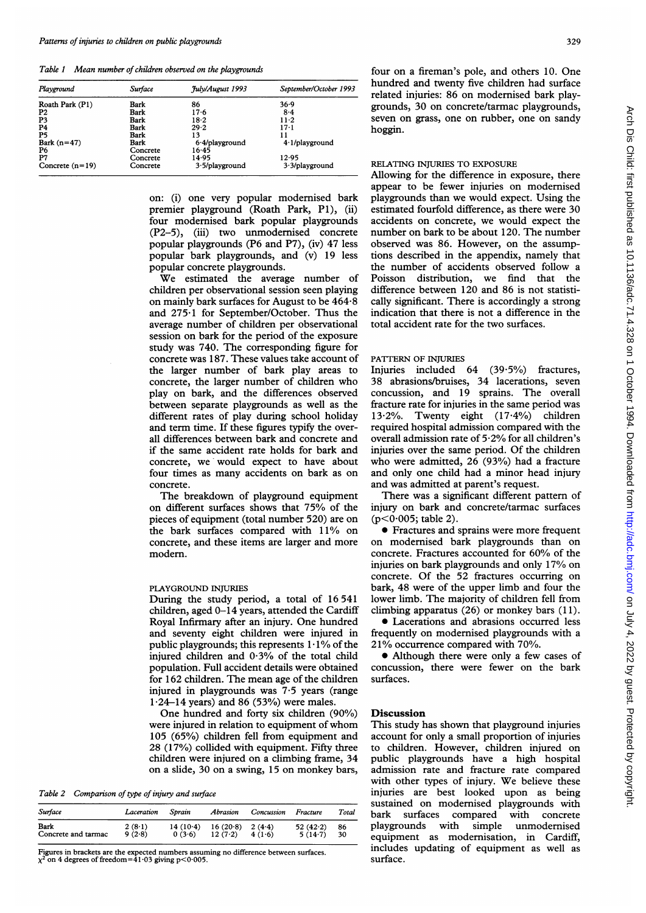Table <sup>1</sup> Mean number of children observed on the playgrounds

| Playground        | Surface     | <i><b>July/August 1993</b></i> | September/October 1993 |  |  |
|-------------------|-------------|--------------------------------|------------------------|--|--|
| Roath Park (P1)   | Bark        | 86                             | 36.9                   |  |  |
| P <sub>2</sub>    | Bark        | $17-6$                         | 8.4                    |  |  |
| P3                | Bark        | $18-2$                         | $11-2$                 |  |  |
| <b>P4</b>         | <b>Bark</b> | 29.2                           | $17 - 1$               |  |  |
| P <sub>5</sub>    | Bark        | 13                             | 11                     |  |  |
| Bark $(n=47)$     | Bark        | $6.4$ /playground              | $4.1$ /playground      |  |  |
| P6                | Concrete    | 16.45                          |                        |  |  |
| P7                | Concrete    | 14.95                          | 12.95                  |  |  |
| Concrete $(n=19)$ | Concrete    | $3.5$ /playground              | $3.3$ /playground      |  |  |

on: (i) one very popular modernised bark premier playground (Roath Park, P1), (ii) four modernised bark popular playgrounds (P2-5), (iii) two unmodernised concrete popular playgrounds (P6 and P7), (iv) 47 less popular bark playgrounds, and (v) 19 less popular concrete playgrounds.

We estimated the average number of children per observational session seen playing on mainly bark surfaces for August to be  $464.8$ and  $275 \cdot 1$  for September/October. Thus the average number of children per observational session on bark for the period of the exposure study was 740. The corresponding figure for concrete was 187. These values take account of the larger number of bark play areas to concrete, the larger number of children who play on bark, and the differences observed between separate playgrounds as well as the different rates of play during school holiday and term time. If these figures typify the overall differences between bark and concrete and if the same accident rate holds for bark and concrete, we would expect to have about four times as many accidents on bark as on concrete.

The breakdown of playground equipment on different surfaces shows that 75% of the pieces of equipment (total number 520) are on the bark surfaces compared with 11% on concrete, and these items are larger and more modern.

## PLAYGROUND INJURIES

During the study period, a total of 16541 children, aged 0-14 years, attended the Cardiff Royal Infirmary after an injury. One hundred and seventy eight children were injured in public playgrounds; this represents  $1.1\%$  of the injured children and 0-3% of the total child population. Full accident details were obtained for 162 children. The mean age of the children injured in playgrounds was 7-5 years (range  $1.24-14$  years) and 86 (53%) were males.

One hundred and forty six children (90%) were injured in relation to equipment of whom 105 (65%) children fell from equipment and 28 (17%) collided with equipment. Fifty three children were injured on a climbing frame, 34 on a slide, 30 on a swing, 15 on monkey bars,

Table 2 Comparison of type of injury and surface

| Surface             | Laceration | Sprain     | Abrasion | Concussion | Fracture    | Total |
|---------------------|------------|------------|----------|------------|-------------|-------|
| Bark                | $2(8-1)$   | $14(10-4)$ | 16(20.8) | $2(4-4)$   | 52 $(42.2)$ | 86    |
| Concrete and tarmac | 9(2.8)     | 0(3.6)     | 12(7.2)  | 4(1.6)     | 5(14.7)     | 30    |

Figures in brackets are the expected numbers assuming no difference between surfaces.<br>x<sup>2</sup> on 4 degrees of freedom=41·03 giving p<0·005.

four on a fireman's pole, and others 10. One hundred and twenty five children had surface related injuries: 86 on modernised bark playgrounds, 30 on concrete/tarmac playgrounds, seven on grass, one on rubber, one on sandy hoggin.

#### RELATING INJURIES TO EXPOSURE

Allowing for the difference in exposure, there appear to be fewer injuries on modernised playgrounds than we would expect. Using the estimated fourfold difference, as there were 30 accidents on concrete, we would expect the number on bark to be about 120. The number observed was 86. However, on the assumptions described in the appendix, namely that the number of accidents observed follow a Poisson distribution, we find that the difference between 120 and 86 is not statistically significant. There is accordingly a strong indication that there is not a difference in the total accident rate for the two surfaces.

#### PATTERN OF INJURIES

Injuries included 64 (39.5%) fractures, 38 abrasions/bruises, 34 lacerations, seven concussion, and 19 sprains. The overall fracture rate for injuries in the same period was 13.2%. Twenty eight (17.4%) children required hospital admission compared with the overall admission rate of  $5.2\%$  for all children's injuries over the same period. Of the children who were admitted, 26 (93%) had <sup>a</sup> fracture and only one child had a minor head injury and was admitted at parent's request.

There was a significant different pattern of injury on bark and concrete/tarmac surfaces  $(p<0.005;$  table 2).

• Fractures and sprains were more frequent on modernised bark playgrounds than on concrete. Fractures accounted for 60% of the injuries on bark playgrounds and only 17% on concrete. Of the 52 fractures occurring on bark, 48 were of the upper limb and four the lower limb. The majority of children fell from climbing apparatus (26) or monkey bars (11).

\* Lacerations and abrasions occurred less frequently on modernised playgrounds with a 21% occurrence compared with 70%.

• Although there were only a few cases of concussion, there were fewer on the bark surfaces.

## **Discussion**

This study has shown that playground injuries account for only a small proportion of injuries to children. However, children injured on public playgrounds have a high hospital admission rate and fracture rate compared with other types of injury. We believe these injuries are best looked upon as being sustained on modernised playgrounds with bark surfaces compared with concrete playgrounds with simple unmodernised equipment as modernisation, in Cardiff, includes updating of equipment as well as surface.